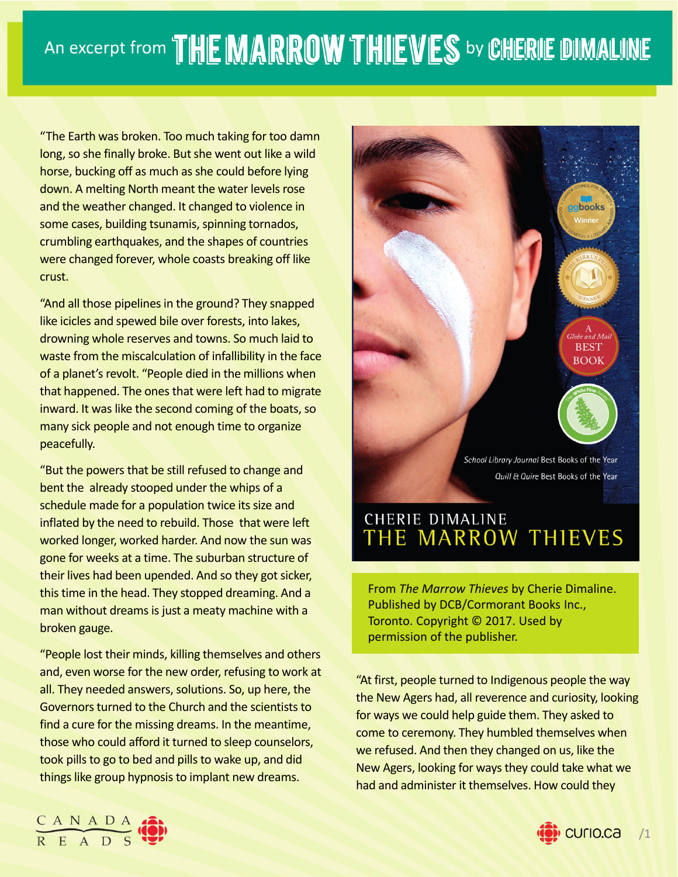## An excerpt from THE MARROW THIEVES by CHERIE DIMALINE

"The Earth was broken. Too much taking for too damn long, so she finally broke. But she went out like a wild horse, bucking off as much as she could before lying down. A melting North meant the water levels rose and the weather changed. It changed to violence in some cases, building tsunamis, spinning tornados, crumbling earthquakes, and the shapes of countries were changed forever, whole coasts breaking off like crust.

"And all those pipelines in the ground? They snapped like icicles and spewed bile over forests, into lakes, drowning whole reserves and towns. So much laid to waste from the miscalculation of infallibility in the face of a planet's revolt. "People died in the millions when that happened. The ones that were left had to migrate inward. It was like the second coming of the boats, so many sick people and not enough time to organize peacefully.

"But the powers that be still refused to change and bent the already stooped under the whips of a schedule made for a population twice its size and inflated by the need to rebuild. Those that were left worked longer, worked harder. And now the sun was gone for weeks at a time. The suburban structure of their lives had been upended. And so they got sicker, this time in the head. They stopped dreaming. And a man without dreams is just a meaty machine with a broken gauge.

"People lost their minds, killing themselves and others and, even worse for the new order, refusing to work at all. They needed answers, solutions. So, up here, the Governors turned to the Church and the scientists to find a cure for the missing dreams. In the meantime, those who could afford it turned to sleep counselors, took pills to go to bed and pills to wake up, and did things like group hypnosis to implant new dreams.



## CHERIE DIMALINE THE MARROW THIEVES

From *The Marrow Thieves* by Cherie Dimaline. Published by DCB/Cormorant Books Inc., Toronto. Copyright © 2017. Used by permission of the publisher.

"At first, people turned to Indigenous people the way the New Agers had, all reverence and curiosity, looking for ways we could help guide them. They asked to come to ceremony. They humbled themselves when we refused. And then they changed on us, like the New Agers, looking for ways they could take what we had and administer it themselves. How could they